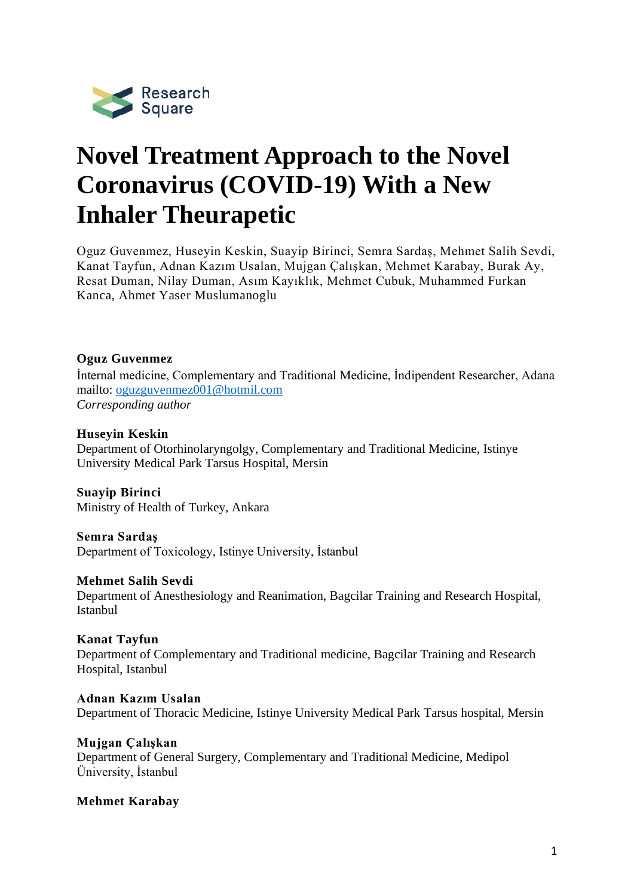

# **Novel Treatment Approach to the Novel Coronavirus (COVID-19) With a New Inhaler Theurapetic**

Oguz Guvenmez, Huseyin Keskin, Suayip Birinci, Semra Sardaş, Mehmet Salih Sevdi, Kanat Tayfun, Adnan Kazım Usalan, Mujgan Çalışkan, Mehmet Karabay, Burak Ay, Resat Duman, Nilay Duman, Asım Kayıklık, Mehmet Cubuk, Muhammed Furkan Kanca, Ahmet Yaser Muslumanoglu

## **Oguz Guvenmez**

İnternal medicine, Complementary and Traditional Medicine, İndipendent Researcher, Adana mailto: [oguzguvenmez001@hotmil.com](mailto:oguzguvenmez001@hotmil.com) *Corresponding author*

#### **Huseyin Keskin**

Department of Otorhinolaryngolgy, Complementary and Traditional Medicine, Istinye University Medical Park Tarsus Hospital, Mersin

**Suayip Birinci** Ministry of Health of Turkey, Ankara

**Semra Sardaş**

Department of Toxicology, Istinye University, İstanbul

#### **Mehmet Salih Sevdi**

Department of Anesthesiology and Reanimation, Bagcilar Training and Research Hospital, Istanbul

#### **Kanat Tayfun**

Department of Complementary and Traditional medicine, Bagcilar Training and Research Hospital, Istanbul

#### **Adnan Kazım Usalan**

Department of Thoracic Medicine, Istinye University Medical Park Tarsus hospital, Mersin

#### **Mujgan Çalışkan**

Department of General Surgery, Complementary and Traditional Medicine, Medipol Üniversity, İstanbul

#### **Mehmet Karabay**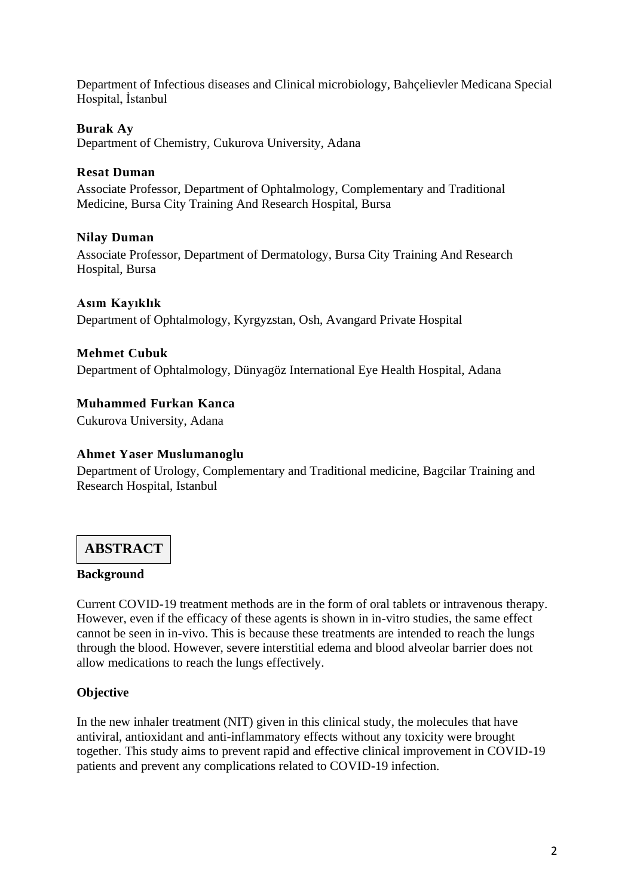Department of Infectious diseases and Clinical microbiology, Bahçelievler Medicana Special Hospital, İstanbul

## **Burak Ay**

Department of Chemistry, Cukurova University, Adana

### **Resat Duman**

Associate Professor, Department of Ophtalmology, Complementary and Traditional Medicine, Bursa City Training And Research Hospital, Bursa

## **Nilay Duman**

Associate Professor, Department of Dermatology, Bursa City Training And Research Hospital, Bursa

#### **Asım Kayıklık**

Department of Ophtalmology, Kyrgyzstan, Osh, Avangard Private Hospital

#### **Mehmet Cubuk**

Department of Ophtalmology, Dünyagöz International Eye Health Hospital, Adana

**Muhammed Furkan Kanca**

Cukurova University, Adana

#### **Ahmet Yaser Muslumanoglu**

Department of Urology, Complementary and Traditional medicine, Bagcilar Training and Research Hospital, Istanbul

# **ABSTRACT**

#### **Background**

Current COVID-19 treatment methods are in the form of oral tablets or intravenous therapy. However, even if the efficacy of these agents is shown in in-vitro studies, the same effect cannot be seen in in-vivo. This is because these treatments are intended to reach the lungs through the blood. However, severe interstitial edema and blood alveolar barrier does not allow medications to reach the lungs effectively.

#### **Objective**

In the new inhaler treatment (NIT) given in this clinical study, the molecules that have antiviral, antioxidant and anti-inflammatory effects without any toxicity were brought together. This study aims to prevent rapid and effective clinical improvement in COVID-19 patients and prevent any complications related to COVID-19 infection.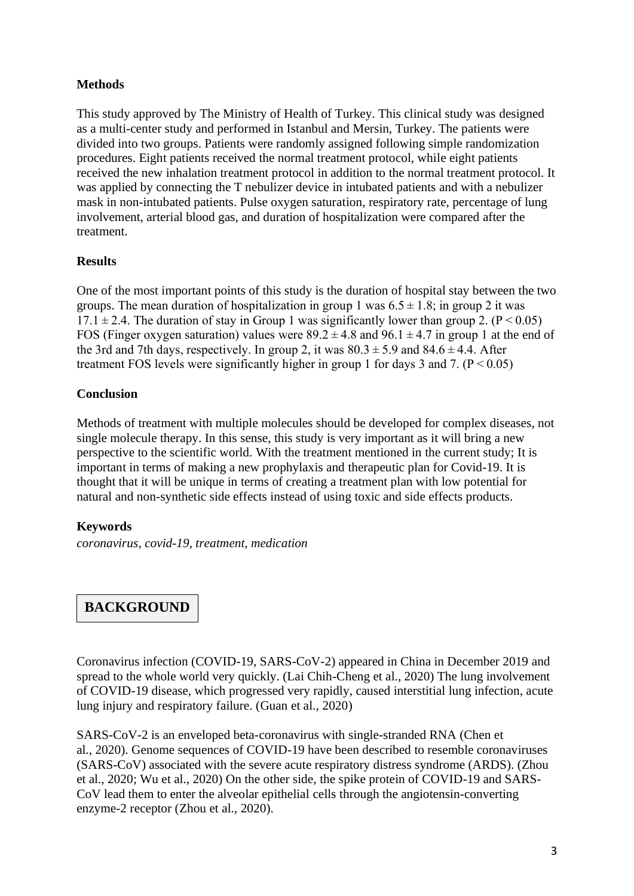## **Methods**

This study approved by The Ministry of Health of Turkey. This clinical study was designed as a multi-center study and performed in Istanbul and Mersin, Turkey. The patients were divided into two groups. Patients were randomly assigned following simple randomization procedures. Eight patients received the normal treatment protocol, while eight patients received the new inhalation treatment protocol in addition to the normal treatment protocol. It was applied by connecting the T nebulizer device in intubated patients and with a nebulizer mask in non-intubated patients. Pulse oxygen saturation, respiratory rate, percentage of lung involvement, arterial blood gas, and duration of hospitalization were compared after the treatment.

## **Results**

One of the most important points of this study is the duration of hospital stay between the two groups. The mean duration of hospitalization in group 1 was  $6.5 \pm 1.8$ ; in group 2 it was  $17.1 \pm 2.4$ . The duration of stay in Group 1 was significantly lower than group 2. (P < 0.05) FOS (Finger oxygen saturation) values were  $89.2 \pm 4.8$  and  $96.1 \pm 4.7$  in group 1 at the end of the 3rd and 7th days, respectively. In group 2, it was  $80.3 \pm 5.9$  and  $84.6 \pm 4.4$ . After treatment FOS levels were significantly higher in group 1 for days 3 and 7.  $(P < 0.05)$ 

## **Conclusion**

Methods of treatment with multiple molecules should be developed for complex diseases, not single molecule therapy. In this sense, this study is very important as it will bring a new perspective to the scientific world. With the treatment mentioned in the current study; It is important in terms of making a new prophylaxis and therapeutic plan for Covid-19. It is thought that it will be unique in terms of creating a treatment plan with low potential for natural and non-synthetic side effects instead of using toxic and side effects products.

## **Keywords**

*coronavirus, covid-19, treatment, medication*

# **BACKGROUND**

Coronavirus infection (COVID-19, SARS-CoV-2) appeared in China in December 2019 and spread to the whole world very quickly. (Lai Chih-Cheng et al., 2020) The lung involvement of COVID-19 disease, which progressed very rapidly, caused interstitial lung infection, acute lung injury and respiratory failure. (Guan et al., 2020)

SARS-CoV-2 is an enveloped beta-coronavirus with single-stranded RNA (Chen et al., 2020). Genome sequences of COVID-19 have been described to resemble coronaviruses (SARS-CoV) associated with the severe acute respiratory distress syndrome (ARDS). (Zhou et al., 2020; Wu et al., 2020) On the other side, the spike protein of COVID-19 and SARS-CoV lead them to enter the alveolar epithelial cells through the angiotensin-converting enzyme-2 receptor (Zhou et al., 2020).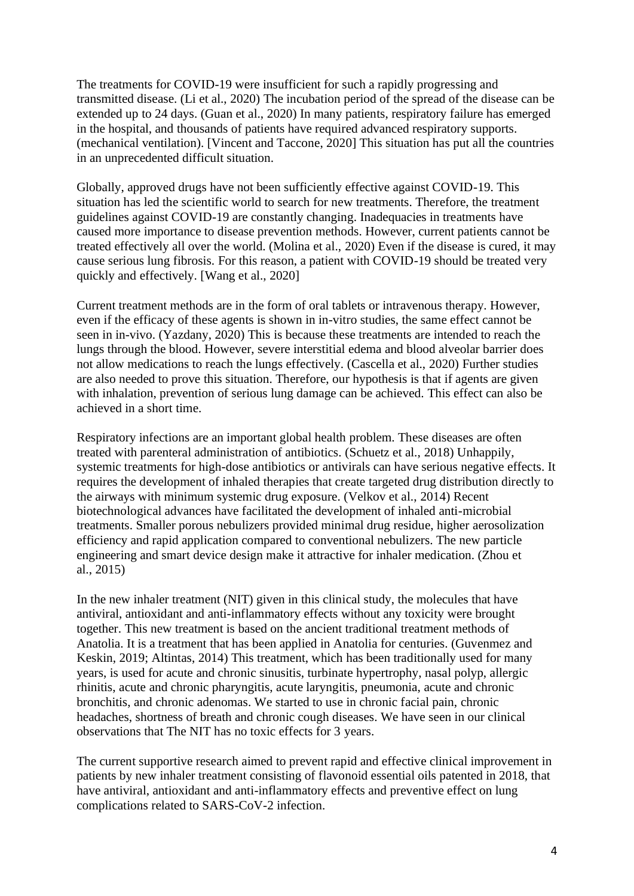The treatments for COVID-19 were insufficient for such a rapidly progressing and transmitted disease. (Li et al., 2020) The incubation period of the spread of the disease can be extended up to 24 days. (Guan et al., 2020) In many patients, respiratory failure has emerged in the hospital, and thousands of patients have required advanced respiratory supports. (mechanical ventilation). [Vincent and Taccone, 2020] This situation has put all the countries in an unprecedented difficult situation.

Globally, approved drugs have not been sufficiently effective against COVID-19. This situation has led the scientific world to search for new treatments. Therefore, the treatment guidelines against COVID-19 are constantly changing. Inadequacies in treatments have caused more importance to disease prevention methods. However, current patients cannot be treated effectively all over the world. (Molina et al., 2020) Even if the disease is cured, it may cause serious lung fibrosis. For this reason, a patient with COVID-19 should be treated very quickly and effectively. [Wang et al., 2020]

Current treatment methods are in the form of oral tablets or intravenous therapy. However, even if the efficacy of these agents is shown in in-vitro studies, the same effect cannot be seen in in-vivo. (Yazdany, 2020) This is because these treatments are intended to reach the lungs through the blood. However, severe interstitial edema and blood alveolar barrier does not allow medications to reach the lungs effectively. (Cascella et al., 2020) Further studies are also needed to prove this situation. Therefore, our hypothesis is that if agents are given with inhalation, prevention of serious lung damage can be achieved. This effect can also be achieved in a short time.

Respiratory infections are an important global health problem. These diseases are often treated with parenteral administration of antibiotics. (Schuetz et al., 2018) Unhappily, systemic treatments for high-dose antibiotics or antivirals can have serious negative effects. It requires the development of inhaled therapies that create targeted drug distribution directly to the airways with minimum systemic drug exposure. (Velkov et al., 2014) Recent biotechnological advances have facilitated the development of inhaled anti-microbial treatments. Smaller porous nebulizers provided minimal drug residue, higher aerosolization efficiency and rapid application compared to conventional nebulizers. The new particle engineering and smart device design make it attractive for inhaler medication. (Zhou et al., 2015)

In the new inhaler treatment (NIT) given in this clinical study, the molecules that have antiviral, antioxidant and anti-inflammatory effects without any toxicity were brought together. This new treatment is based on the ancient traditional treatment methods of Anatolia. It is a treatment that has been applied in Anatolia for centuries. (Guvenmez and Keskin, 2019; Altintas, 2014) This treatment, which has been traditionally used for many years, is used for acute and chronic sinusitis, turbinate hypertrophy, nasal polyp, allergic rhinitis, acute and chronic pharyngitis, acute laryngitis, pneumonia, acute and chronic bronchitis, and chronic adenomas. We started to use in chronic facial pain, chronic headaches, shortness of breath and chronic cough diseases. We have seen in our clinical observations that The NIT has no toxic effects for 3 years.

The current supportive research aimed to prevent rapid and effective clinical improvement in patients by new inhaler treatment consisting of flavonoid essential oils patented in 2018, that have antiviral, antioxidant and anti-inflammatory effects and preventive effect on lung complications related to SARS-CoV-2 infection.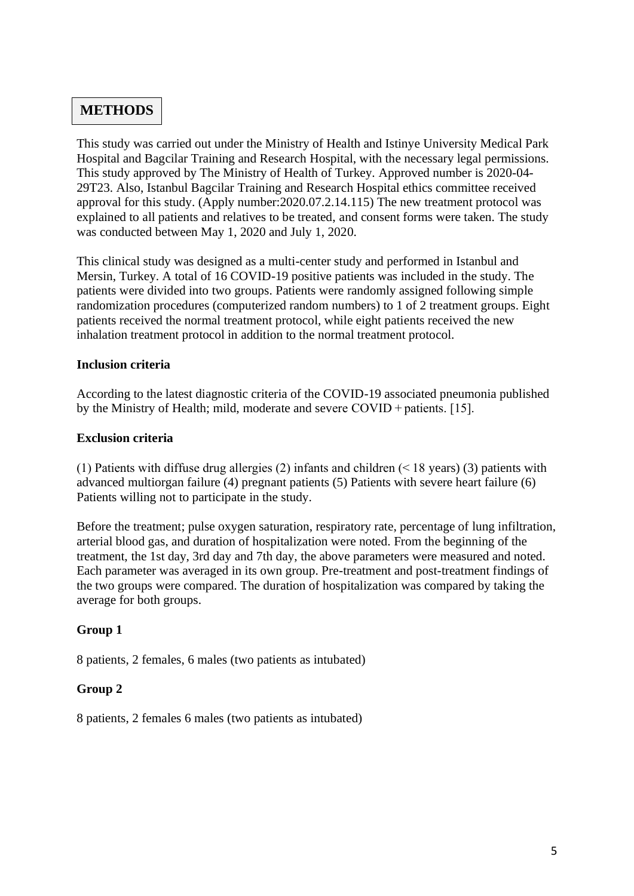# **METHODS**

This study was carried out under the Ministry of Health and Istinye University Medical Park Hospital and Bagcilar Training and Research Hospital, with the necessary legal permissions. This study approved by The Ministry of Health of Turkey. Approved number is 2020-04- 29T23. Also, Istanbul Bagcilar Training and Research Hospital ethics committee received approval for this study. (Apply number:2020.07.2.14.115) The new treatment protocol was explained to all patients and relatives to be treated, and consent forms were taken. The study was conducted between May 1, 2020 and July 1, 2020.

This clinical study was designed as a multi-center study and performed in Istanbul and Mersin, Turkey. A total of 16 COVID-19 positive patients was included in the study. The patients were divided into two groups. Patients were randomly assigned following simple randomization procedures (computerized random numbers) to 1 of 2 treatment groups. Eight patients received the normal treatment protocol, while eight patients received the new inhalation treatment protocol in addition to the normal treatment protocol.

#### **Inclusion criteria**

According to the latest diagnostic criteria of the COVID-19 associated pneumonia published by the Ministry of Health; mild, moderate and severe COVID + patients. [15].

#### **Exclusion criteria**

(1) Patients with diffuse drug allergies (2) infants and children (< 18 years) (3) patients with advanced multiorgan failure (4) pregnant patients (5) Patients with severe heart failure (6) Patients willing not to participate in the study.

Before the treatment; pulse oxygen saturation, respiratory rate, percentage of lung infiltration, arterial blood gas, and duration of hospitalization were noted. From the beginning of the treatment, the 1st day, 3rd day and 7th day, the above parameters were measured and noted. Each parameter was averaged in its own group. Pre-treatment and post-treatment findings of the two groups were compared. The duration of hospitalization was compared by taking the average for both groups.

## **Group 1**

8 patients, 2 females, 6 males (two patients as intubated)

## **Group 2**

8 patients, 2 females 6 males (two patients as intubated)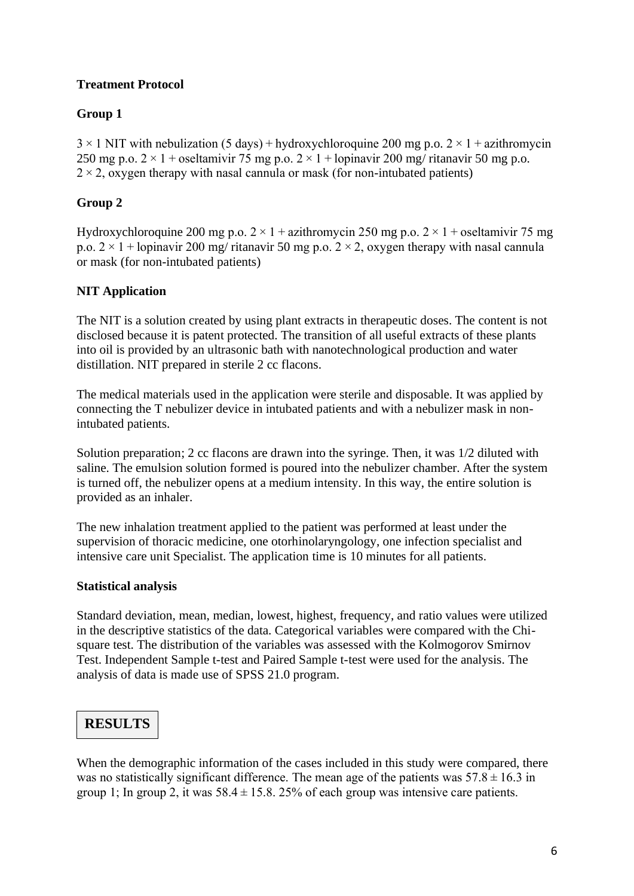## **Treatment Protocol**

## **Group 1**

 $3 \times 1$  NIT with nebulization (5 days) + hydroxychloroquine 200 mg p.o.  $2 \times 1$  + azithromycin 250 mg p.o.  $2 \times 1 +$  oseltamivir 75 mg p.o.  $2 \times 1 +$ lopinavir 200 mg/ ritanavir 50 mg p.o.  $2 \times 2$ , oxygen therapy with nasal cannula or mask (for non-intubated patients)

## **Group 2**

Hydroxychloroquine 200 mg p.o.  $2 \times 1 +$ azithromycin 250 mg p.o.  $2 \times 1 +$ oseltamivir 75 mg p.o.  $2 \times 1 +$ **lopinavir** 200 mg/ ritanavir 50 mg p.o.  $2 \times 2$ , oxygen therapy with nasal cannula or mask (for non-intubated patients)

## **NIT Application**

The NIT is a solution created by using plant extracts in therapeutic doses. The content is not disclosed because it is patent protected. The transition of all useful extracts of these plants into oil is provided by an ultrasonic bath with nanotechnological production and water distillation. NIT prepared in sterile 2 cc flacons.

The medical materials used in the application were sterile and disposable. It was applied by connecting the T nebulizer device in intubated patients and with a nebulizer mask in nonintubated patients.

Solution preparation; 2 cc flacons are drawn into the syringe. Then, it was 1/2 diluted with saline. The emulsion solution formed is poured into the nebulizer chamber. After the system is turned off, the nebulizer opens at a medium intensity. In this way, the entire solution is provided as an inhaler.

The new inhalation treatment applied to the patient was performed at least under the supervision of thoracic medicine, one otorhinolaryngology, one infection specialist and intensive care unit Specialist. The application time is 10 minutes for all patients.

#### **Statistical analysis**

Standard deviation, mean, median, lowest, highest, frequency, and ratio values were utilized in the descriptive statistics of the data. Categorical variables were compared with the Chisquare test. The distribution of the variables was assessed with the Kolmogorov Smirnov Test. Independent Sample t-test and Paired Sample t-test were used for the analysis. The analysis of data is made use of SPSS 21.0 program.

# **RESULTS**

When the demographic information of the cases included in this study were compared, there was no statistically significant difference. The mean age of the patients was  $57.8 \pm 16.3$  in group 1; In group 2, it was  $58.4 \pm 15.8$ . 25% of each group was intensive care patients.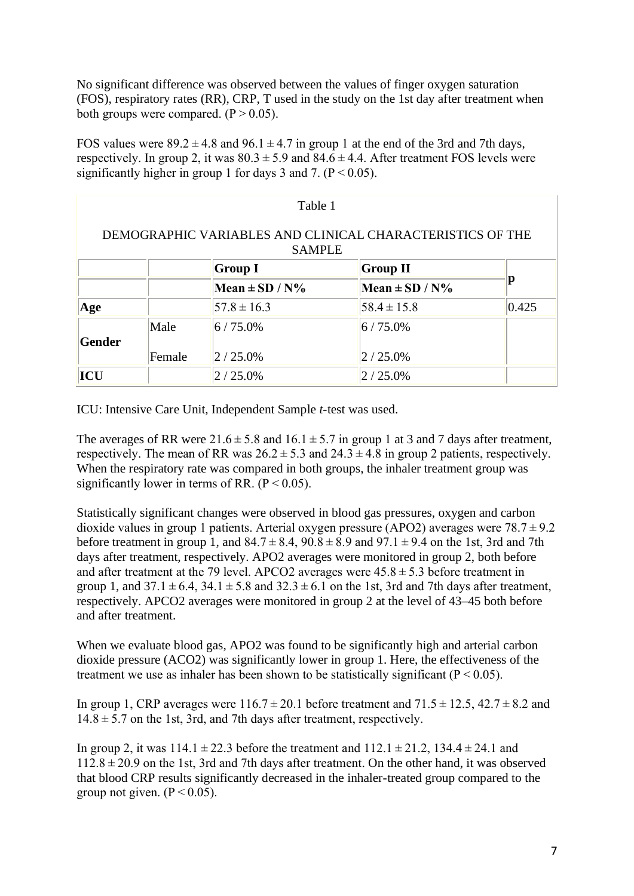No significant difference was observed between the values of finger oxygen saturation (FOS), respiratory rates (RR), CRP, T used in the study on the 1st day after treatment when both groups were compared.  $(P > 0.05)$ .

FOS values were  $89.2 \pm 4.8$  and  $96.1 \pm 4.7$  in group 1 at the end of the 3rd and 7th days, respectively. In group 2, it was  $80.3 \pm 5.9$  and  $84.6 \pm 4.4$ . After treatment FOS levels were significantly higher in group 1 for days 3 and 7. ( $P \le 0.05$ ).

| Table 1                                                                    |        |                    |                    |       |  |  |  |  |
|----------------------------------------------------------------------------|--------|--------------------|--------------------|-------|--|--|--|--|
| DEMOGRAPHIC VARIABLES AND CLINICAL CHARACTERISTICS OF THE<br><b>SAMPLE</b> |        |                    |                    |       |  |  |  |  |
|                                                                            |        | <b>Group I</b>     | Group II           |       |  |  |  |  |
|                                                                            |        | Mean $\pm$ SD / N% | Mean $\pm$ SD / N% | р     |  |  |  |  |
| Age                                                                        |        | $57.8 \pm 16.3$    | $58.4 \pm 15.8$    | 0.425 |  |  |  |  |
| Gender                                                                     | Male   | $6/75.0\%$         | $6/75.0\%$         |       |  |  |  |  |
|                                                                            | Female | $2/25.0\%$         | $2/25.0\%$         |       |  |  |  |  |
| ICU                                                                        |        | $2/25.0\%$         | $2/25.0\%$         |       |  |  |  |  |

ICU: Intensive Care Unit, Independent Sample *t*-test was used.

The averages of RR were  $21.6 \pm 5.8$  and  $16.1 \pm 5.7$  in group 1 at 3 and 7 days after treatment, respectively. The mean of RR was  $26.2 \pm 5.3$  and  $24.3 \pm 4.8$  in group 2 patients, respectively. When the respiratory rate was compared in both groups, the inhaler treatment group was significantly lower in terms of RR.  $(P < 0.05)$ .

Statistically significant changes were observed in blood gas pressures, oxygen and carbon dioxide values in group 1 patients. Arterial oxygen pressure (APO2) averages were  $78.7 \pm 9.2$ before treatment in group 1, and  $84.7 \pm 8.4$ ,  $90.8 \pm 8.9$  and  $97.1 \pm 9.4$  on the 1st, 3rd and 7th days after treatment, respectively. APO2 averages were monitored in group 2, both before and after treatment at the 79 level. APCO2 averages were  $45.8 \pm 5.3$  before treatment in group 1, and  $37.1 \pm 6.4$ ,  $34.1 \pm 5.8$  and  $32.3 \pm 6.1$  on the 1st, 3rd and 7th days after treatment, respectively. APCO2 averages were monitored in group 2 at the level of 43–45 both before and after treatment.

When we evaluate blood gas, APO2 was found to be significantly high and arterial carbon dioxide pressure (ACO2) was significantly lower in group 1. Here, the effectiveness of the treatment we use as inhaler has been shown to be statistically significant ( $P \le 0.05$ ).

In group 1, CRP averages were  $116.7 \pm 20.1$  before treatment and  $71.5 \pm 12.5$ ,  $42.7 \pm 8.2$  and  $14.8 \pm 5.7$  on the 1st, 3rd, and 7th days after treatment, respectively.

In group 2, it was  $114.1 \pm 22.3$  before the treatment and  $112.1 \pm 21.2$ ,  $134.4 \pm 24.1$  and  $112.8 \pm 20.9$  on the 1st, 3rd and 7th days after treatment. On the other hand, it was observed that blood CRP results significantly decreased in the inhaler-treated group compared to the group not given.  $(P < 0.05)$ .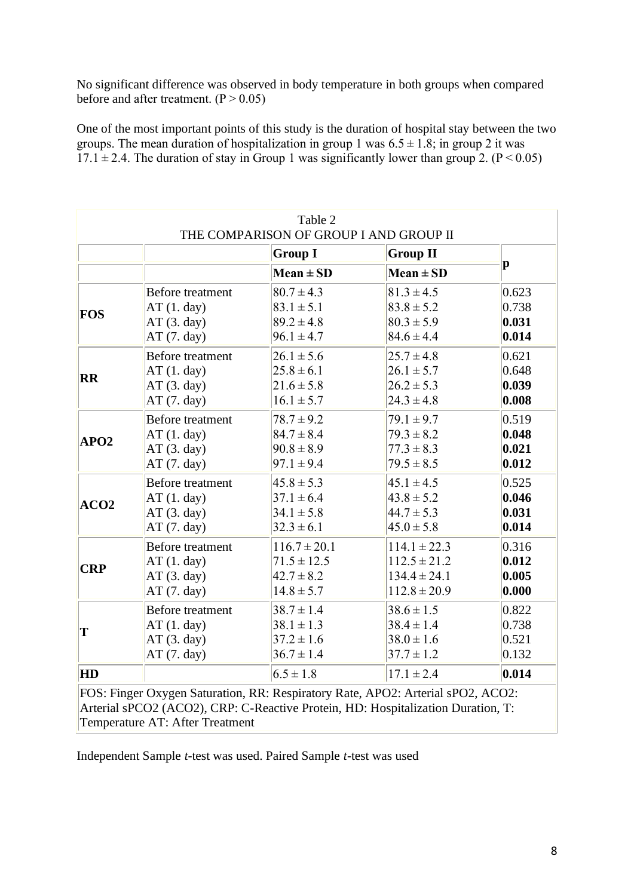No significant difference was observed in body temperature in both groups when compared before and after treatment.  $(P > 0.05)$ 

One of the most important points of this study is the duration of hospital stay between the two groups. The mean duration of hospitalization in group 1 was  $6.5 \pm 1.8$ ; in group 2 it was  $17.1 \pm 2.4$ . The duration of stay in Group 1 was significantly lower than group 2. (P < 0.05)

| Table 2<br>THE COMPARISON OF GROUP I AND GROUP II                                                                                                                   |                         |                                   |                  |         |  |  |
|---------------------------------------------------------------------------------------------------------------------------------------------------------------------|-------------------------|-----------------------------------|------------------|---------|--|--|
|                                                                                                                                                                     |                         | <b>Group I</b><br><b>Group II</b> |                  |         |  |  |
|                                                                                                                                                                     |                         | $Mean \pm SD$                     | $Mean \pm SD$    | $\bf p$ |  |  |
| FOS                                                                                                                                                                 | Before treatment        | $80.7 \pm 4.3$                    | $81.3 \pm 4.5$   | 0.623   |  |  |
|                                                                                                                                                                     | AT(1. day)              | $83.1 \pm 5.1$                    | $83.8 \pm 5.2$   | 0.738   |  |  |
|                                                                                                                                                                     | AT(3. day)              | $89.2 \pm 4.8$                    | $80.3 \pm 5.9$   | 0.031   |  |  |
|                                                                                                                                                                     | AT(7. day)              | $96.1 \pm 4.7$                    | $84.6 \pm 4.4$   | 0.014   |  |  |
| $\overline{\mathbf{R}}$                                                                                                                                             | <b>Before treatment</b> | $26.1 \pm 5.6$                    | $25.7 \pm 4.8$   | 0.621   |  |  |
|                                                                                                                                                                     | AT(1. day)              | $25.8 \pm 6.1$                    | $26.1 \pm 5.7$   | 0.648   |  |  |
|                                                                                                                                                                     | AT(3. day)              | $21.6 \pm 5.8$                    | $26.2 \pm 5.3$   | 0.039   |  |  |
|                                                                                                                                                                     | AT(7. day)              | $16.1 \pm 5.7$                    | $24.3 \pm 4.8$   | 0.008   |  |  |
| APO2                                                                                                                                                                | Before treatment        | $78.7 \pm 9.2$                    | $79.1 \pm 9.7$   | 0.519   |  |  |
|                                                                                                                                                                     | AT(1. day)              | $84.7 \pm 8.4$                    | $79.3 \pm 8.2$   | 0.048   |  |  |
|                                                                                                                                                                     | AT(3. day)              | $90.8 \pm 8.9$                    | $77.3 \pm 8.3$   | 0.021   |  |  |
|                                                                                                                                                                     | AT(7. day)              | $97.1 \pm 9.4$                    | $79.5 \pm 8.5$   | 0.012   |  |  |
| ACO2                                                                                                                                                                | <b>Before treatment</b> | $45.8 \pm 5.3$                    | $45.1 \pm 4.5$   | 0.525   |  |  |
|                                                                                                                                                                     | AT(1. day)              | $37.1 \pm 6.4$                    | $43.8 \pm 5.2$   | 0.046   |  |  |
|                                                                                                                                                                     | AT(3. day)              | $34.1 \pm 5.8$                    | $44.7 \pm 5.3$   | 0.031   |  |  |
|                                                                                                                                                                     | AT(7. day)              | $32.3 \pm 6.1$                    | $45.0 \pm 5.8$   | 0.014   |  |  |
| CRP                                                                                                                                                                 | Before treatment        | $116.7 \pm 20.1$                  | $114.1 \pm 22.3$ | 0.316   |  |  |
|                                                                                                                                                                     | AT(1. day)              | $71.5 \pm 12.5$                   | $112.5 \pm 21.2$ | 0.012   |  |  |
|                                                                                                                                                                     | AT(3. day)              | $42.7 \pm 8.2$                    | $134.4 \pm 24.1$ | 0.005   |  |  |
|                                                                                                                                                                     | AT(7. day)              | $14.8 \pm 5.7$                    | $112.8 \pm 20.9$ | 0.000   |  |  |
| $ \mathbf{T} $                                                                                                                                                      | <b>Before</b> treatment | $38.7 \pm 1.4$                    | $38.6 \pm 1.5$   | 0.822   |  |  |
|                                                                                                                                                                     | AT(1. day)              | $38.1 \pm 1.3$                    | $38.4 \pm 1.4$   | 0.738   |  |  |
|                                                                                                                                                                     | AT(3. day)              | $37.2 \pm 1.6$                    | $38.0 \pm 1.6$   | 0.521   |  |  |
|                                                                                                                                                                     | AT(7. day)              | $36.7 \pm 1.4$                    | $37.7 \pm 1.2$   | 0.132   |  |  |
| <b>HD</b>                                                                                                                                                           |                         | $6.5 \pm 1.8$                     | $17.1 \pm 2.4$   | 0.014   |  |  |
| FOS: Finger Oxygen Saturation, RR: Respiratory Rate, APO2: Arterial sPO2, ACO2:<br>Arterial sPCO2 (ACO2), CRP: C-Reactive Protein, HD: Hospitalization Duration, T: |                         |                                   |                  |         |  |  |

Temperature AT: After Treatment

Independent Sample *t*-test was used. Paired Sample *t*-test was used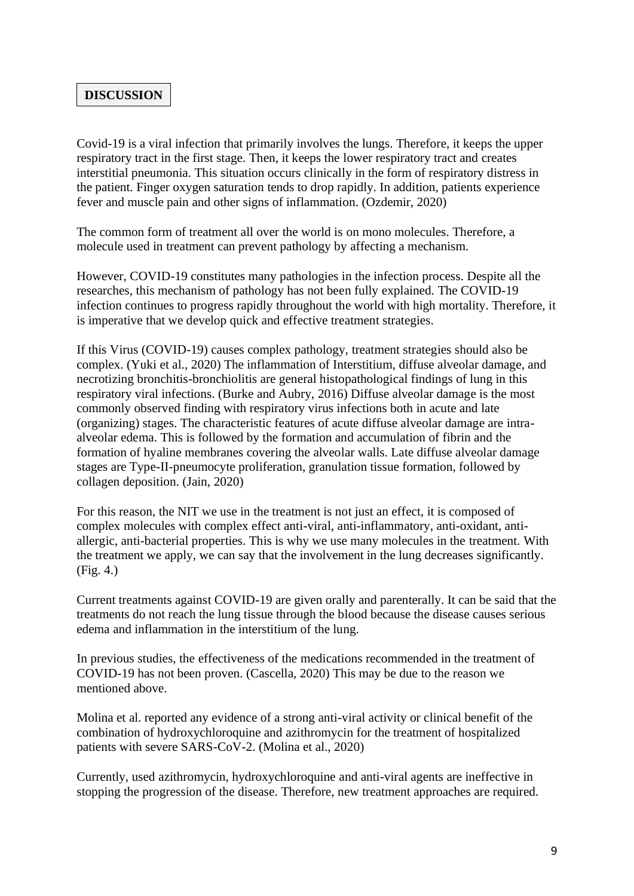# **DISCUSSION**

Covid-19 is a viral infection that primarily involves the lungs. Therefore, it keeps the upper respiratory tract in the first stage. Then, it keeps the lower respiratory tract and creates interstitial pneumonia. This situation occurs clinically in the form of respiratory distress in the patient. Finger oxygen saturation tends to drop rapidly. In addition, patients experience fever and muscle pain and other signs of inflammation. (Ozdemir, 2020)

The common form of treatment all over the world is on mono molecules. Therefore, a molecule used in treatment can prevent pathology by affecting a mechanism.

However, COVID-19 constitutes many pathologies in the infection process. Despite all the researches, this mechanism of pathology has not been fully explained. The COVID-19 infection continues to progress rapidly throughout the world with high mortality. Therefore, it is imperative that we develop quick and effective treatment strategies.

If this Virus (COVID-19) causes complex pathology, treatment strategies should also be complex. (Yuki et al., 2020) The inflammation of Interstitium, diffuse alveolar damage, and necrotizing bronchitis-bronchiolitis are general histopathological findings of lung in this respiratory viral infections. (Burke and Aubry, 2016) Diffuse alveolar damage is the most commonly observed finding with respiratory virus infections both in acute and late (organizing) stages. The characteristic features of acute diffuse alveolar damage are intraalveolar edema. This is followed by the formation and accumulation of fibrin and the formation of hyaline membranes covering the alveolar walls. Late diffuse alveolar damage stages are Type-II-pneumocyte proliferation, granulation tissue formation, followed by collagen deposition. (Jain, 2020)

For this reason, the NIT we use in the treatment is not just an effect, it is composed of complex molecules with complex effect anti-viral, anti-inflammatory, anti-oxidant, antiallergic, anti-bacterial properties. This is why we use many molecules in the treatment. With the treatment we apply, we can say that the involvement in the lung decreases significantly. (Fig. 4.)

Current treatments against COVID-19 are given orally and parenterally. It can be said that the treatments do not reach the lung tissue through the blood because the disease causes serious edema and inflammation in the interstitium of the lung.

In previous studies, the effectiveness of the medications recommended in the treatment of COVID-19 has not been proven. (Cascella, 2020) This may be due to the reason we mentioned above.

Molina et al. reported any evidence of a strong anti-viral activity or clinical benefit of the combination of hydroxychloroquine and azithromycin for the treatment of hospitalized patients with severe SARS-CoV-2. (Molina et al., 2020)

Currently, used azithromycin, hydroxychloroquine and anti-viral agents are ineffective in stopping the progression of the disease. Therefore, new treatment approaches are required.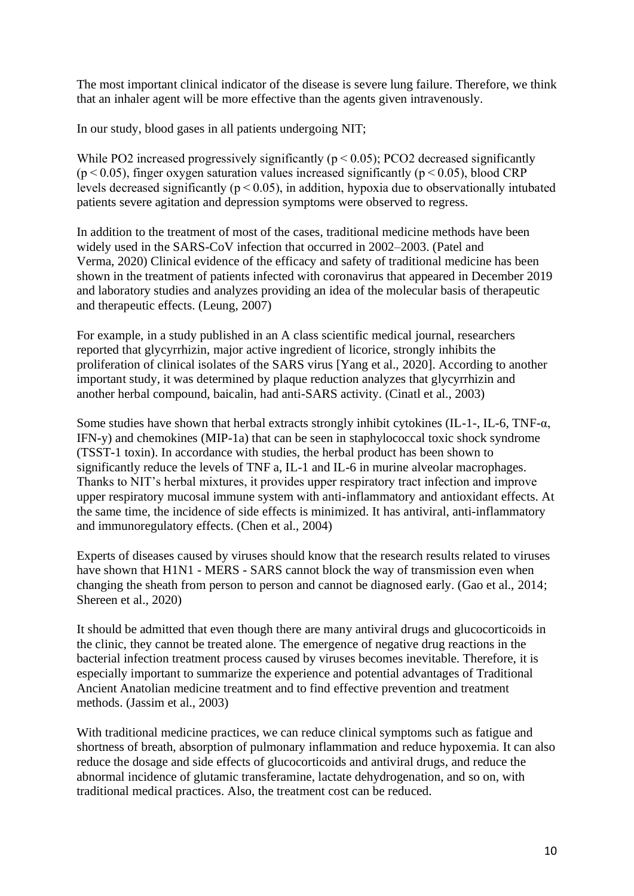The most important clinical indicator of the disease is severe lung failure. Therefore, we think that an inhaler agent will be more effective than the agents given intravenously.

In our study, blood gases in all patients undergoing NIT;

While PO2 increased progressively significantly ( $p < 0.05$ ); PCO2 decreased significantly ( $p$  < 0.05), finger oxygen saturation values increased significantly ( $p$  < 0.05), blood CRP levels decreased significantly ( $p < 0.05$ ), in addition, hypoxia due to observationally intubated patients severe agitation and depression symptoms were observed to regress.

In addition to the treatment of most of the cases, traditional medicine methods have been widely used in the SARS-CoV infection that occurred in 2002–2003. (Patel and Verma, 2020) Clinical evidence of the efficacy and safety of traditional medicine has been shown in the treatment of patients infected with coronavirus that appeared in December 2019 and laboratory studies and analyzes providing an idea of the molecular basis of therapeutic and therapeutic effects. (Leung, 2007)

For example, in a study published in an A class scientific medical journal, researchers reported that glycyrrhizin, major active ingredient of licorice, strongly inhibits the proliferation of clinical isolates of the SARS virus [Yang et al., 2020]. According to another important study, it was determined by plaque reduction analyzes that glycyrrhizin and another herbal compound, baicalin, had anti-SARS activity. (Cinatl et al., 2003)

Some studies have shown that herbal extracts strongly inhibit cytokines (IL-1-, IL-6, TNF-α, IFN-y) and chemokines (MIP-1a) that can be seen in staphylococcal toxic shock syndrome (TSST-1 toxin). In accordance with studies, the herbal product has been shown to significantly reduce the levels of TNF a, IL-1 and IL-6 in murine alveolar macrophages. Thanks to NIT's herbal mixtures, it provides upper respiratory tract infection and improve upper respiratory mucosal immune system with anti-inflammatory and antioxidant effects. At the same time, the incidence of side effects is minimized. It has antiviral, anti-inflammatory and immunoregulatory effects. (Chen et al., 2004)

Experts of diseases caused by viruses should know that the research results related to viruses have shown that H1N1 - MERS - SARS cannot block the way of transmission even when changing the sheath from person to person and cannot be diagnosed early. (Gao et al., 2014; Shereen et al., 2020)

It should be admitted that even though there are many antiviral drugs and glucocorticoids in the clinic, they cannot be treated alone. The emergence of negative drug reactions in the bacterial infection treatment process caused by viruses becomes inevitable. Therefore, it is especially important to summarize the experience and potential advantages of Traditional Ancient Anatolian medicine treatment and to find effective prevention and treatment methods. (Jassim et al., 2003)

With traditional medicine practices, we can reduce clinical symptoms such as fatigue and shortness of breath, absorption of pulmonary inflammation and reduce hypoxemia. It can also reduce the dosage and side effects of glucocorticoids and antiviral drugs, and reduce the abnormal incidence of glutamic transferamine, lactate dehydrogenation, and so on, with traditional medical practices. Also, the treatment cost can be reduced.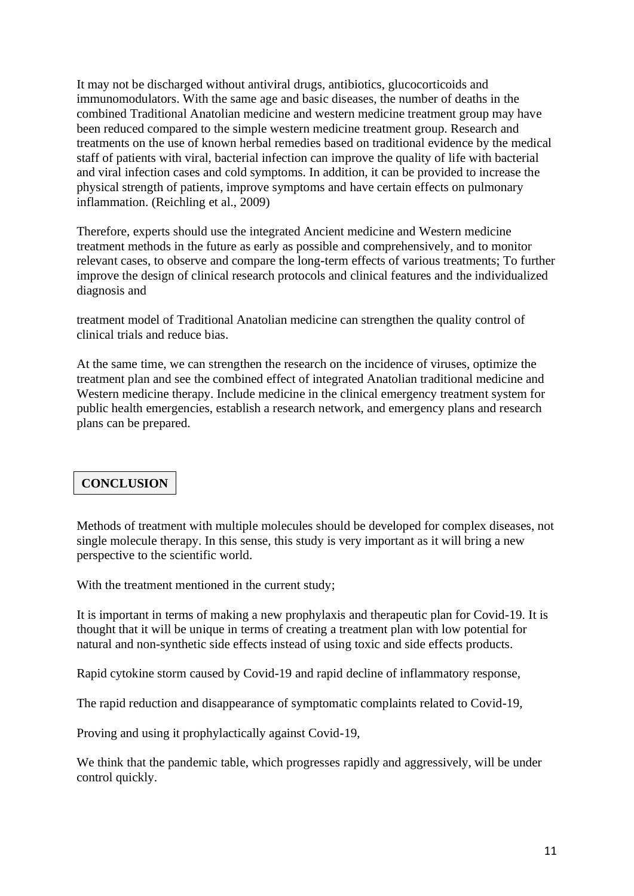It may not be discharged without antiviral drugs, antibiotics, glucocorticoids and immunomodulators. With the same age and basic diseases, the number of deaths in the combined Traditional Anatolian medicine and western medicine treatment group may have been reduced compared to the simple western medicine treatment group. Research and treatments on the use of known herbal remedies based on traditional evidence by the medical staff of patients with viral, bacterial infection can improve the quality of life with bacterial and viral infection cases and cold symptoms. In addition, it can be provided to increase the physical strength of patients, improve symptoms and have certain effects on pulmonary inflammation. (Reichling et al., 2009)

Therefore, experts should use the integrated Ancient medicine and Western medicine treatment methods in the future as early as possible and comprehensively, and to monitor relevant cases, to observe and compare the long-term effects of various treatments; To further improve the design of clinical research protocols and clinical features and the individualized diagnosis and

treatment model of Traditional Anatolian medicine can strengthen the quality control of clinical trials and reduce bias.

At the same time, we can strengthen the research on the incidence of viruses, optimize the treatment plan and see the combined effect of integrated Anatolian traditional medicine and Western medicine therapy. Include medicine in the clinical emergency treatment system for public health emergencies, establish a research network, and emergency plans and research plans can be prepared.

## **CONCLUSION**

Methods of treatment with multiple molecules should be developed for complex diseases, not single molecule therapy. In this sense, this study is very important as it will bring a new perspective to the scientific world.

With the treatment mentioned in the current study;

It is important in terms of making a new prophylaxis and therapeutic plan for Covid-19. It is thought that it will be unique in terms of creating a treatment plan with low potential for natural and non-synthetic side effects instead of using toxic and side effects products.

Rapid cytokine storm caused by Covid-19 and rapid decline of inflammatory response,

The rapid reduction and disappearance of symptomatic complaints related to Covid-19,

Proving and using it prophylactically against Covid-19,

We think that the pandemic table, which progresses rapidly and aggressively, will be under control quickly.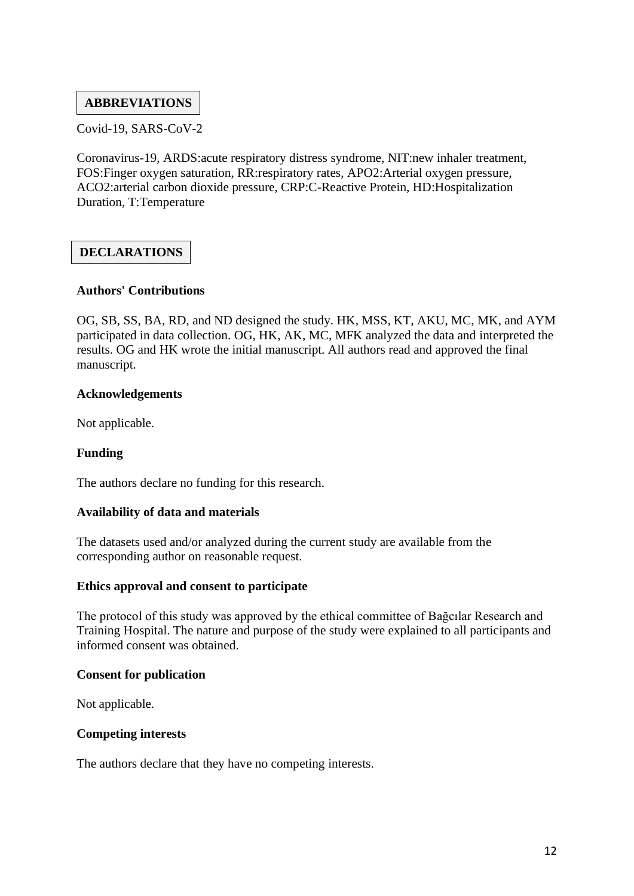## **ABBREVIATIONS**

Covid-19, SARS-CoV-2

Coronavirus-19, ARDS:acute respiratory distress syndrome, NIT:new inhaler treatment, FOS:Finger oxygen saturation, RR:respiratory rates, APO2:Arterial oxygen pressure, ACO2:arterial carbon dioxide pressure, CRP:C-Reactive Protein, HD:Hospitalization Duration, T:Temperature

## **DECLARATIONS**

#### **Authors' Contributions**

OG, SB, SS, BA, RD, and ND designed the study. HK, MSS, KT, AKU, MC, MK, and AYM participated in data collection. OG, HK, AK, MC, MFK analyzed the data and interpreted the results. OG and HK wrote the initial manuscript. All authors read and approved the final manuscript.

#### **Acknowledgements**

Not applicable.

#### **Funding**

The authors declare no funding for this research.

#### **Availability of data and materials**

The datasets used and/or analyzed during the current study are available from the corresponding author on reasonable request.

#### **Ethics approval and consent to participate**

The protocol of this study was approved by the ethical committee of Bağcılar Research and Training Hospital. The nature and purpose of the study were explained to all participants and informed consent was obtained.

#### **Consent for publication**

Not applicable.

#### **Competing interests**

The authors declare that they have no competing interests.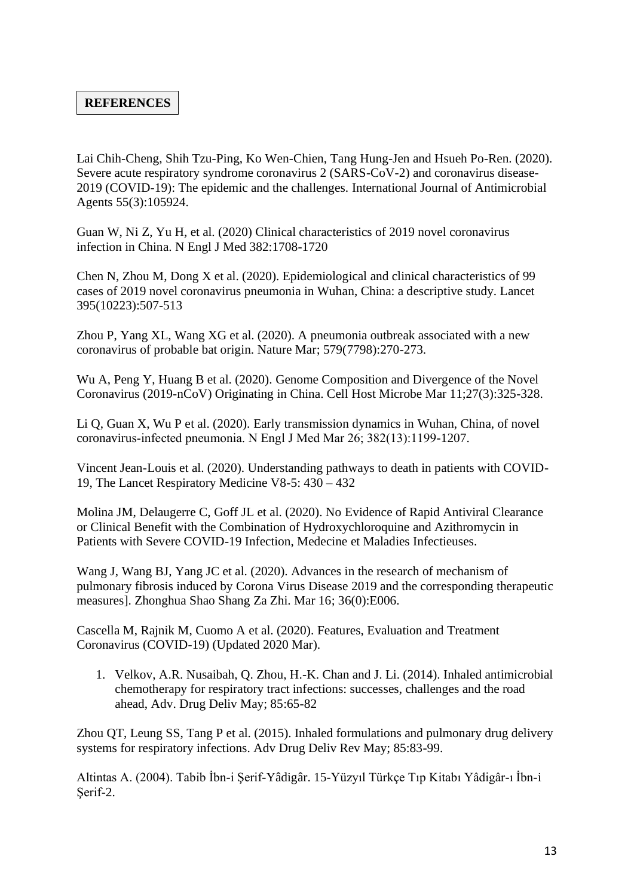## **REFERENCES**

Lai Chih-Cheng, Shih Tzu-Ping, Ko Wen-Chien, Tang Hung-Jen and Hsueh Po-Ren. (2020). Severe acute respiratory syndrome coronavirus 2 (SARS-CoV-2) and coronavirus disease-2019 (COVID-19): The epidemic and the challenges. International Journal of Antimicrobial Agents 55(3):105924.

Guan W, Ni Z, Yu H, et al. (2020) Clinical characteristics of 2019 novel coronavirus infection in China. N Engl J Med 382:1708-1720

Chen N, Zhou M, Dong X et al. (2020). Epidemiological and clinical characteristics of 99 cases of 2019 novel coronavirus pneumonia in Wuhan, China: a descriptive study. Lancet 395(10223):507-513

Zhou P, Yang XL, Wang XG et al. (2020). A pneumonia outbreak associated with a new coronavirus of probable bat origin. Nature Mar; 579(7798):270-273.

Wu A, Peng Y, Huang B et al. (2020). Genome Composition and Divergence of the Novel Coronavirus (2019-nCoV) Originating in China. Cell Host Microbe Mar 11;27(3):325-328.

Li Q, Guan X, Wu P et al. (2020). Early transmission dynamics in Wuhan, China, of novel coronavirus‐infected pneumonia. N Engl J Med Mar 26; 382(13):1199-1207.

Vincent Jean-Louis et al. (2020). Understanding pathways to death in patients with COVID-19, The Lancet Respiratory Medicine V8-5: 430 – 432

Molina JM, Delaugerre C, Goff JL et al. (2020). No Evidence of Rapid Antiviral Clearance or Clinical Benefit with the Combination of Hydroxychloroquine and Azithromycin in Patients with Severe COVID-19 Infection, Medecine et Maladies Infectieuses.

Wang J, Wang BJ, Yang JC et al. (2020). Advances in the research of mechanism of pulmonary fibrosis induced by Corona Virus Disease 2019 and the corresponding therapeutic measures]. Zhonghua Shao Shang Za Zhi. Mar 16; 36(0):E006.

Cascella M, Rajnik M, Cuomo A et al. (2020). Features, Evaluation and Treatment Coronavirus (COVID-19) (Updated 2020 Mar).

1. Velkov, A.R. Nusaibah, Q. Zhou, H.-K. Chan and J. Li. (2014). Inhaled antimicrobial chemotherapy for respiratory tract infections: successes, challenges and the road ahead, Adv. Drug Deliv May; 85:65-82

Zhou QT, Leung SS, Tang P et al. (2015). Inhaled formulations and pulmonary drug delivery systems for respiratory infections. Adv Drug Deliv Rev May; 85:83-99.

Altintas A. (2004). Tabib İbn-i Şerif-Yâdigâr. 15-Yüzyıl Türkçe Tıp Kitabı Yâdigâr-ı İbn-i Şerif-2.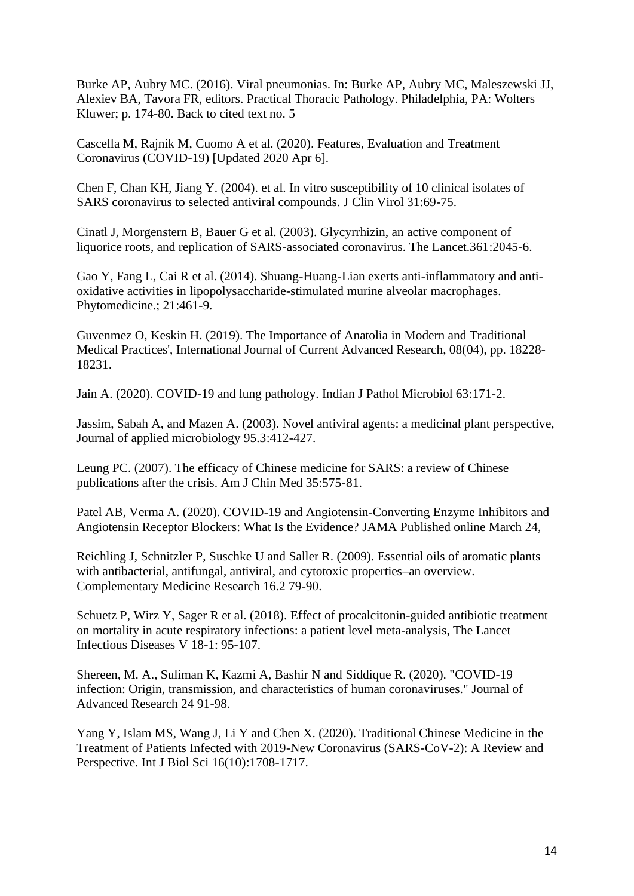Burke AP, Aubry MC. (2016). Viral pneumonias. In: Burke AP, Aubry MC, Maleszewski JJ, Alexiev BA, Tavora FR, editors. Practical Thoracic Pathology. Philadelphia, PA: Wolters Kluwer; p. 174-80. Back to cited text no. 5

Cascella M, Rajnik M, Cuomo A et al. (2020). Features, Evaluation and Treatment Coronavirus (COVID-19) [Updated 2020 Apr 6].

Chen F, Chan KH, Jiang Y. (2004). et al. In vitro susceptibility of 10 clinical isolates of SARS coronavirus to selected antiviral compounds. J Clin Virol 31:69-75.

Cinatl J, Morgenstern B, Bauer G et al. (2003). Glycyrrhizin, an active component of liquorice roots, and replication of SARS-associated coronavirus. The Lancet.361:2045-6.

Gao Y, Fang L, Cai R et al. (2014). Shuang-Huang-Lian exerts anti-inflammatory and antioxidative activities in lipopolysaccharide-stimulated murine alveolar macrophages. Phytomedicine.; 21:461-9.

Guvenmez O, Keskin H. (2019). The Importance of Anatolia in Modern and Traditional Medical Practices', International Journal of Current Advanced Research, 08(04), pp. 18228- 18231.

Jain A. (2020). COVID-19 and lung pathology. Indian J Pathol Microbiol 63:171-2.

Jassim, Sabah A, and Mazen A. (2003). Novel antiviral agents: a medicinal plant perspective, Journal of applied microbiology 95.3:412-427.

Leung PC. (2007). The efficacy of Chinese medicine for SARS: a review of Chinese publications after the crisis. Am J Chin Med 35:575-81.

Patel AB, Verma A. (2020). COVID-19 and Angiotensin-Converting Enzyme Inhibitors and Angiotensin Receptor Blockers: What Is the Evidence? JAMA Published online March 24,

Reichling J, Schnitzler P, Suschke U and Saller R. (2009). Essential oils of aromatic plants with antibacterial, antifungal, antiviral, and cytotoxic properties–an overview. Complementary Medicine Research 16.2 79-90.

Schuetz P, Wirz Y, Sager R et al. (2018). Effect of procalcitonin-guided antibiotic treatment on mortality in acute respiratory infections: a patient level meta-analysis, The Lancet Infectious Diseases V 18-1: 95-107.

Shereen, M. A., Suliman K, Kazmi A, Bashir N and Siddique R. (2020). "COVID-19 infection: Origin, transmission, and characteristics of human coronaviruses." Journal of Advanced Research 24 91-98.

Yang Y, Islam MS, Wang J, Li Y and Chen X. (2020). Traditional Chinese Medicine in the Treatment of Patients Infected with 2019-New Coronavirus (SARS-CoV-2): A Review and Perspective. Int J Biol Sci 16(10):1708-1717.